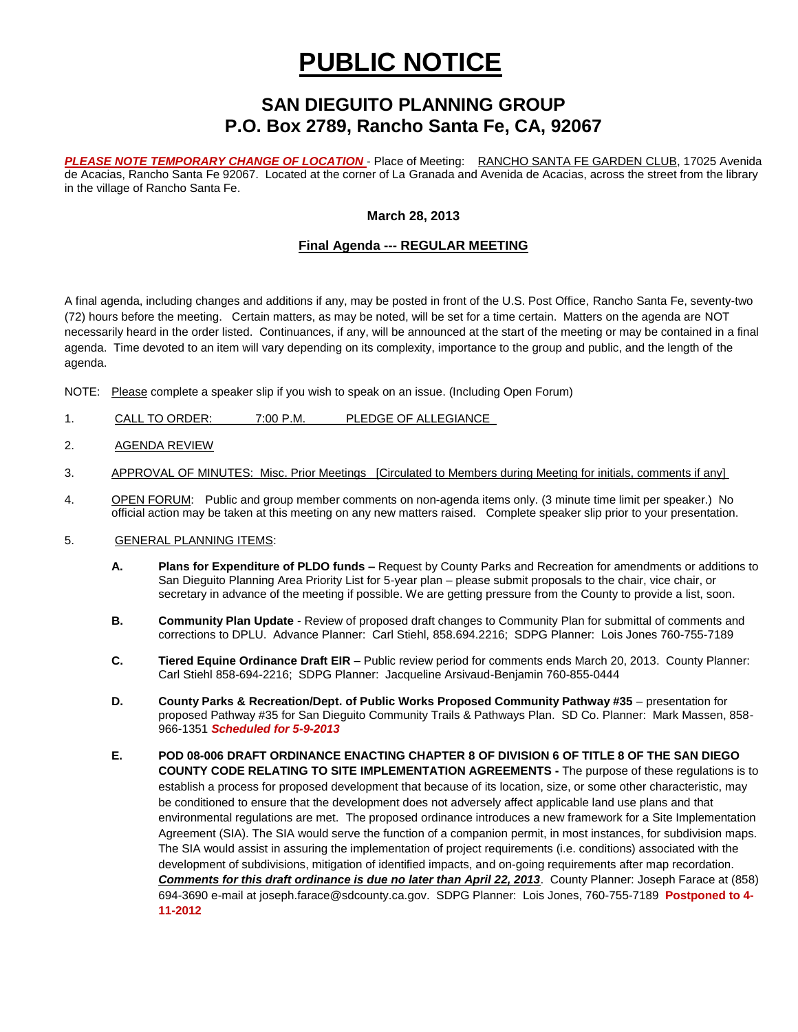# **PUBLIC NOTICE**

## **SAN DIEGUITO PLANNING GROUP P.O. Box 2789, Rancho Santa Fe, CA, 92067**

PLEASE NOTE TEMPORARY CHANGE OF LOCATION - Place of Meeting: RANCHO SANTA FE GARDEN CLUB, 17025 Avenida de Acacias, Rancho Santa Fe 92067. Located at the corner of La Granada and Avenida de Acacias, across the street from the library in the village of Rancho Santa Fe.

#### **March 28, 2013**

#### **Final Agenda --- REGULAR MEETING**

A final agenda, including changes and additions if any, may be posted in front of the U.S. Post Office, Rancho Santa Fe, seventy-two (72) hours before the meeting. Certain matters, as may be noted, will be set for a time certain. Matters on the agenda are NOT necessarily heard in the order listed. Continuances, if any, will be announced at the start of the meeting or may be contained in a final agenda. Time devoted to an item will vary depending on its complexity, importance to the group and public, and the length of the agenda.

NOTE: Please complete a speaker slip if you wish to speak on an issue. (Including Open Forum)

- 1. CALL TO ORDER: 7:00 P.M. PLEDGE OF ALLEGIANCE
- 2. AGENDA REVIEW
- 3. APPROVAL OF MINUTES: Misc. Prior Meetings [Circulated to Members during Meeting for initials, comments if anyl
- 4. OPEN FORUM: Public and group member comments on non-agenda items only. (3 minute time limit per speaker.) No official action may be taken at this meeting on any new matters raised. Complete speaker slip prior to your presentation.
- 5. GENERAL PLANNING ITEMS:
	- **A. Plans for Expenditure of PLDO funds –** Request by County Parks and Recreation for amendments or additions to San Dieguito Planning Area Priority List for 5-year plan – please submit proposals to the chair, vice chair, or secretary in advance of the meeting if possible. We are getting pressure from the County to provide a list, soon.
	- **B. Community Plan Update** Review of proposed draft changes to Community Plan for submittal of comments and corrections to DPLU. Advance Planner: Carl Stiehl, 858.694.2216; SDPG Planner: Lois Jones 760-755-7189
	- **C. Tiered Equine Ordinance Draft EIR**  Public review period for comments ends March 20, 2013. County Planner: Carl Stiehl 858-694-2216; SDPG Planner: Jacqueline Arsivaud-Benjamin 760-855-0444
	- **D. County Parks & Recreation/Dept. of Public Works Proposed Community Pathway #35** presentation for proposed Pathway #35 for San Dieguito Community Trails & Pathways Plan. SD Co. Planner: Mark Massen, 858- 966-1351 *Scheduled for 5-9-2013*
	- **E. POD 08-006 DRAFT ORDINANCE ENACTING CHAPTER 8 OF DIVISION 6 OF TITLE 8 OF THE SAN DIEGO COUNTY CODE RELATING TO SITE IMPLEMENTATION AGREEMENTS -** The purpose of these regulations is to establish a process for proposed development that because of its location, size, or some other characteristic, may be conditioned to ensure that the development does not adversely affect applicable land use plans and that environmental regulations are met. The proposed ordinance introduces a new framework for a Site Implementation Agreement (SIA). The SIA would serve the function of a companion permit, in most instances, for subdivision maps. The SIA would assist in assuring the implementation of project requirements (i.e. conditions) associated with the development of subdivisions, mitigation of identified impacts, and on-going requirements after map recordation. *Comments for this draft ordinance is due no later than April 22, 2013*. County Planner: Joseph Farace at (858) 694-3690 e-mail at [joseph.farace@sdcounty.ca.gov.](mailto:joseph.farace@sdcounty.ca.gov) SDPG Planner: Lois Jones, 760-755-7189 **Postponed to 4- 11-2012**